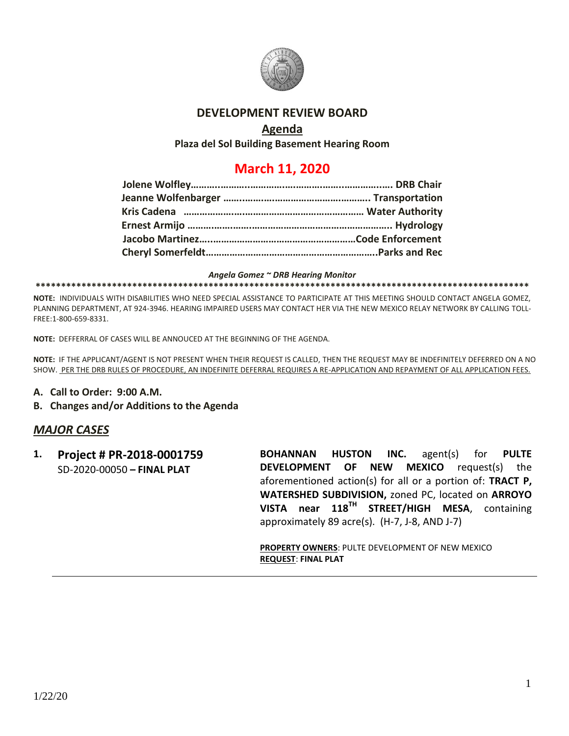

## **DEVELOPMENT REVIEW BOARD**

## **Agenda**

**Plaza del Sol Building Basement Hearing Room**

# **March 11, 2020**

#### *Angela Gomez ~ DRB Hearing Monitor*

#### **\*\*\*\*\*\*\*\*\*\*\*\*\*\*\*\*\*\*\*\*\*\*\*\*\*\*\*\*\*\*\*\*\*\*\*\*\*\*\*\*\*\*\*\*\*\*\*\*\*\*\*\*\*\*\*\*\*\*\*\*\*\*\*\*\*\*\*\*\*\*\*\*\*\*\*\*\*\*\*\*\*\*\*\*\*\*\*\*\*\*\*\*\*\*\*\*\***

**NOTE:** INDIVIDUALS WITH DISABILITIES WHO NEED SPECIAL ASSISTANCE TO PARTICIPATE AT THIS MEETING SHOULD CONTACT ANGELA GOMEZ, PLANNING DEPARTMENT, AT 924-3946. HEARING IMPAIRED USERS MAY CONTACT HER VIA THE NEW MEXICO RELAY NETWORK BY CALLING TOLL-FREE:1-800-659-8331.

**NOTE:** DEFFERRAL OF CASES WILL BE ANNOUCED AT THE BEGINNING OF THE AGENDA.

**NOTE:** IF THE APPLICANT/AGENT IS NOT PRESENT WHEN THEIR REQUEST IS CALLED, THEN THE REQUEST MAY BE INDEFINITELY DEFERRED ON A NO SHOW. PER THE DRB RULES OF PROCEDURE, AN INDEFINITE DEFERRAL REQUIRES A RE-APPLICATION AND REPAYMENT OF ALL APPLICATION FEES.

- **A. Call to Order: 9:00 A.M.**
- **B. Changes and/or Additions to the Agenda**

### *MAJOR CASES*

**1. Project # PR-2018-0001759** SD-2020-00050 **– FINAL PLAT**

**BOHANNAN HUSTON INC.** agent(s) for **PULTE DEVELOPMENT OF NEW MEXICO** request(s) the aforementioned action(s) for all or a portion of: **TRACT P, WATERSHED SUBDIVISION,** zoned PC, located on **ARROYO VISTA near 118TH STREET/HIGH MESA**, containing approximately 89 acre(s). (H-7, J-8, AND J-7)

**PROPERTY OWNERS**: PULTE DEVELOPMENT OF NEW MEXICO **REQUEST**: **FINAL PLAT**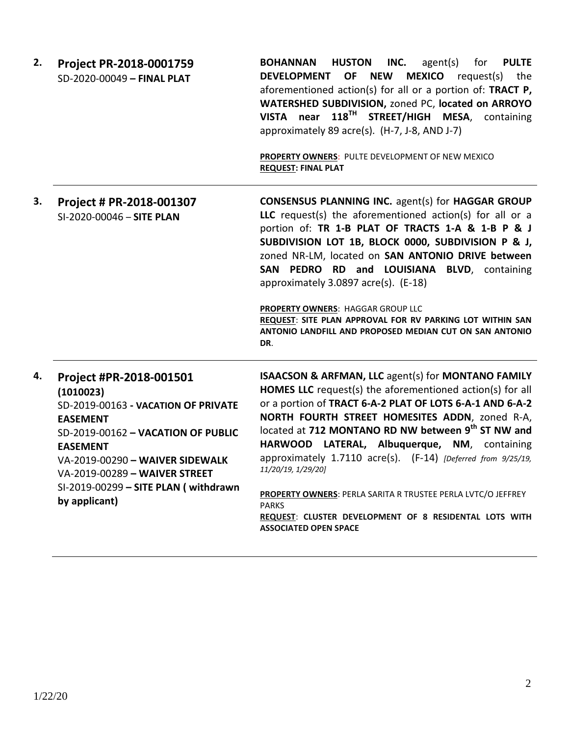| 2. | Project PR-2018-0001759<br>SD-2020-00049 - FINAL PLAT                                                                                                                                                                                                                                | <b>HUSTON</b><br><b>PULTE</b><br><b>BOHANNAN</b><br>INC.<br>agent(s)<br>for<br><b>MEXICO</b> request(s)<br><b>DEVELOPMENT</b><br>OF NEW<br>the<br>aforementioned action(s) for all or a portion of: TRACT P,<br>WATERSHED SUBDIVISION, zoned PC, located on ARROYO<br>VISTA near 118 <sup>TH</sup> STREET/HIGH MESA, containing<br>approximately 89 acre(s). (H-7, J-8, AND J-7)<br>PROPERTY OWNERS: PULTE DEVELOPMENT OF NEW MEXICO<br><b>REQUEST: FINAL PLAT</b>                                                                                                                                  |
|----|--------------------------------------------------------------------------------------------------------------------------------------------------------------------------------------------------------------------------------------------------------------------------------------|-----------------------------------------------------------------------------------------------------------------------------------------------------------------------------------------------------------------------------------------------------------------------------------------------------------------------------------------------------------------------------------------------------------------------------------------------------------------------------------------------------------------------------------------------------------------------------------------------------|
| З. | Project # PR-2018-001307<br>SI-2020-00046 - SITE PLAN                                                                                                                                                                                                                                | <b>CONSENSUS PLANNING INC. agent(s) for HAGGAR GROUP</b><br>LLC request(s) the aforementioned action(s) for all or a<br>portion of: TR 1-B PLAT OF TRACTS 1-A & 1-B P & J<br>SUBDIVISION LOT 1B, BLOCK 0000, SUBDIVISION P & J,<br>zoned NR-LM, located on SAN ANTONIO DRIVE between<br>SAN PEDRO RD and LOUISIANA BLVD, containing<br>approximately 3.0897 acre(s). (E-18)<br>PROPERTY OWNERS: HAGGAR GROUP LLC<br>REQUEST: SITE PLAN APPROVAL FOR RV PARKING LOT WITHIN SAN<br>ANTONIO LANDFILL AND PROPOSED MEDIAN CUT ON SAN ANTONIO<br>DR.                                                     |
| 4. | Project #PR-2018-001501<br>(1010023)<br>SD-2019-00163 - VACATION OF PRIVATE<br><b>EASEMENT</b><br>SD-2019-00162 - VACATION OF PUBLIC<br><b>EASEMENT</b><br>VA-2019-00290 - WAIVER SIDEWALK<br>VA-2019-00289 - WAIVER STREET<br>SI-2019-00299 - SITE PLAN (withdrawn<br>by applicant) | ISAACSON & ARFMAN, LLC agent(s) for MONTANO FAMILY<br>HOMES LLC request(s) the aforementioned action(s) for all<br>or a portion of TRACT 6-A-2 PLAT OF LOTS 6-A-1 AND 6-A-2<br>NORTH FOURTH STREET HOMESITES ADDN, zoned R-A,<br>located at 712 MONTANO RD NW between 9th ST NW and<br>HARWOOD LATERAL, Albuquerque, NM, containing<br>approximately 1.7110 acre(s). (F-14) [Deferred from 9/25/19,<br>11/20/19, 1/29/20]<br>PROPERTY OWNERS: PERLA SARITA R TRUSTEE PERLA LVTC/O JEFFREY<br><b>PARKS</b><br>REQUEST: CLUSTER DEVELOPMENT OF 8 RESIDENTAL LOTS WITH<br><b>ASSOCIATED OPEN SPACE</b> |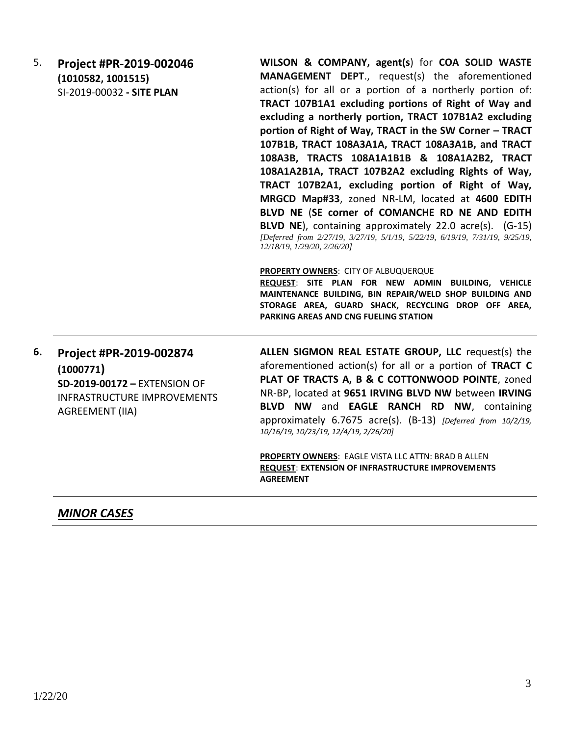5. **Project #PR-2019-002046 (1010582, 1001515)** SI-2019-00032 **- SITE PLAN WILSON & COMPANY, agent(s**) for **COA SOLID WASTE MANAGEMENT DEPT**., request(s) the aforementioned action(s) for all or a portion of a northerly portion of: **TRACT 107B1A1 excluding portions of Right of Way and excluding a northerly portion, TRACT 107B1A2 excluding portion of Right of Way, TRACT in the SW Corner – TRACT 107B1B, TRACT 108A3A1A, TRACT 108A3A1B, and TRACT 108A3B, TRACTS 108A1A1B1B & 108A1A2B2, TRACT 108A1A2B1A, TRACT 107B2A2 excluding Rights of Way, TRACT 107B2A1, excluding portion of Right of Way, MRGCD Map#33**, zoned NR-LM, located at **4600 EDITH BLVD NE** (**SE corner of COMANCHE RD NE AND EDITH BLVD NE**), containing approximately 22.0 acre(s). (G-15) *[Deferred from 2/27/19, 3/27/19, 5/1/19, 5/22/19, 6/19/19, 7/31/19, 9/25/19, 12/18/19, 1/29/20, 2/26/20]* **PROPERTY OWNERS**: CITY OF ALBUQUERQUE

**REQUEST**: **SITE PLAN FOR NEW ADMIN BUILDING, VEHICLE MAINTENANCE BUILDING, BIN REPAIR/WELD SHOP BUILDING AND STORAGE AREA, GUARD SHACK, RECYCLING DROP OFF AREA, PARKING AREAS AND CNG FUELING STATION**

# **6. Project #PR-2019-002874 (1000771) SD-2019-00172 –** EXTENSION OF INFRASTRUCTURE IMPROVEMENTS AGREEMENT (IIA)

**ALLEN SIGMON REAL ESTATE GROUP, LLC** request(s) the aforementioned action(s) for all or a portion of **TRACT C PLAT OF TRACTS A, B & C COTTONWOOD POINTE**, zoned NR-BP, located at **9651 IRVING BLVD NW** between **IRVING BLVD NW** and **EAGLE RANCH RD NW**, containing approximately 6.7675 acre(s). (B-13) *[Deferred from 10/2/19, 10/16/19, 10/23/19, 12/4/19, 2/26/20]*

**PROPERTY OWNERS**: EAGLE VISTA LLC ATTN: BRAD B ALLEN **REQUEST**: **EXTENSION OF INFRASTRUCTURE IMPROVEMENTS AGREEMENT** 

## *MINOR CASES*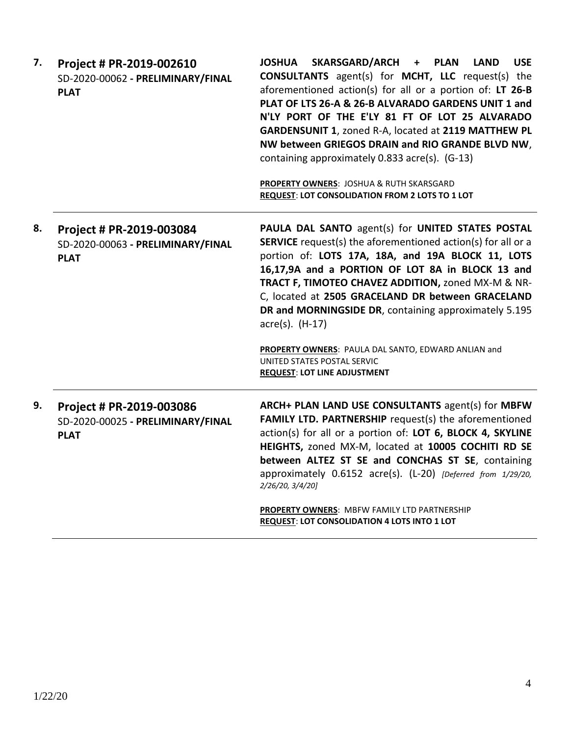| 7. | Project # PR-2019-002610<br>SD-2020-00062 - PRELIMINARY/FINAL<br><b>PLAT</b> | SKARSGARD/ARCH +<br><b>JOSHUA</b><br><b>PLAN</b><br><b>LAND</b><br><b>USE</b><br><b>CONSULTANTS</b> agent(s) for <b>MCHT</b> , LLC request(s) the<br>aforementioned action(s) for all or a portion of: LT 26-B<br>PLAT OF LTS 26-A & 26-B ALVARADO GARDENS UNIT 1 and<br>N'LY PORT OF THE E'LY 81 FT OF LOT 25 ALVARADO<br>GARDENSUNIT 1, zoned R-A, located at 2119 MATTHEW PL<br>NW between GRIEGOS DRAIN and RIO GRANDE BLVD NW,<br>containing approximately 0.833 acre(s). (G-13)<br>PROPERTY OWNERS: JOSHUA & RUTH SKARSGARD<br>REQUEST: LOT CONSOLIDATION FROM 2 LOTS TO 1 LOT |
|----|------------------------------------------------------------------------------|--------------------------------------------------------------------------------------------------------------------------------------------------------------------------------------------------------------------------------------------------------------------------------------------------------------------------------------------------------------------------------------------------------------------------------------------------------------------------------------------------------------------------------------------------------------------------------------|
| 8. | Project # PR-2019-003084<br>SD-2020-00063 - PRELIMINARY/FINAL<br><b>PLAT</b> | PAULA DAL SANTO agent(s) for UNITED STATES POSTAL<br><b>SERVICE</b> request(s) the aforementioned action(s) for all or a<br>portion of: LOTS 17A, 18A, and 19A BLOCK 11, LOTS<br>16,17,9A and a PORTION OF LOT 8A in BLOCK 13 and<br>TRACT F, TIMOTEO CHAVEZ ADDITION, zoned MX-M & NR-<br>C, located at 2505 GRACELAND DR between GRACELAND<br>DR and MORNINGSIDE DR, containing approximately 5.195<br>$\arccos$ . (H-17)<br>PROPERTY OWNERS: PAULA DAL SANTO, EDWARD ANLIAN and<br>UNITED STATES POSTAL SERVIC<br><b>REQUEST: LOT LINE ADJUSTMENT</b>                             |
| 9. | Project # PR-2019-003086<br>SD-2020-00025 - PRELIMINARY/FINAL<br><b>PLAT</b> | ARCH+ PLAN LAND USE CONSULTANTS agent(s) for MBFW<br>FAMILY LTD. PARTNERSHIP request(s) the aforementioned<br>action(s) for all or a portion of: LOT 6, BLOCK 4, SKYLINE<br>HEIGHTS, zoned MX-M, located at 10005 COCHITI RD SE<br>between ALTEZ ST SE and CONCHAS ST SE, containing<br>approximately 0.6152 acre(s). (L-20) [Deferred from 1/29/20,<br>2/26/20, 3/4/20]<br>PROPERTY OWNERS: MBFW FAMILY LTD PARTNERSHIP<br><b>REQUEST: LOT CONSOLIDATION 4 LOTS INTO 1 LOT</b>                                                                                                      |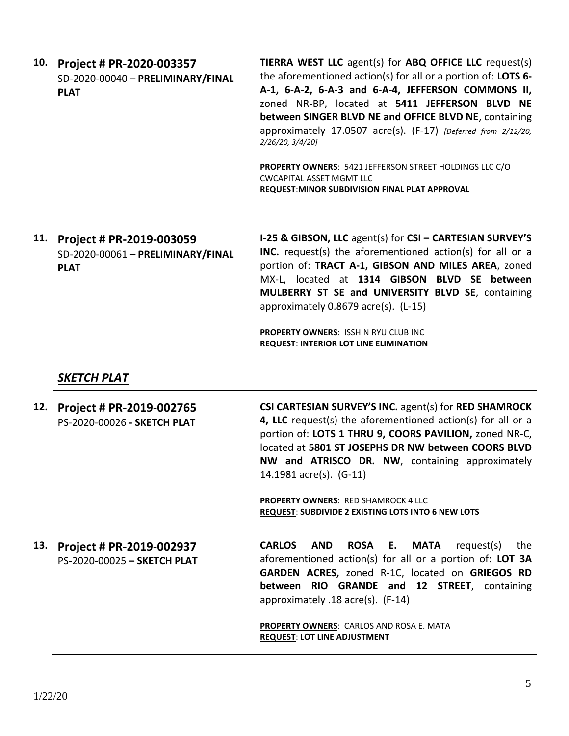| 10. | Project # PR-2020-003357<br>SD-2020-00040 - PRELIMINARY/FINAL<br><b>PLAT</b> | <b>TIERRA WEST LLC</b> agent(s) for <b>ABQ OFFICE LLC</b> request(s)<br>the aforementioned action(s) for all or a portion of: LOTS 6-<br>A-1, 6-A-2, 6-A-3 and 6-A-4, JEFFERSON COMMONS II,<br>zoned NR-BP, located at 5411 JEFFERSON BLVD NE<br>between SINGER BLVD NE and OFFICE BLVD NE, containing<br>approximately 17.0507 acre(s). (F-17) [Deferred from 2/12/20,<br>2/26/20, 3/4/20]<br>PROPERTY OWNERS: 5421 JEFFERSON STREET HOLDINGS LLC C/O<br><b>CWCAPITAL ASSET MGMT LLC</b><br>REQUEST: MINOR SUBDIVISION FINAL PLAT APPROVAL |
|-----|------------------------------------------------------------------------------|---------------------------------------------------------------------------------------------------------------------------------------------------------------------------------------------------------------------------------------------------------------------------------------------------------------------------------------------------------------------------------------------------------------------------------------------------------------------------------------------------------------------------------------------|
| 11. | Project # PR-2019-003059<br>SD-2020-00061 - PRELIMINARY/FINAL<br><b>PLAT</b> | I-25 & GIBSON, LLC agent(s) for CSI - CARTESIAN SURVEY'S<br>INC. request(s) the aforementioned action(s) for all or a<br>portion of: TRACT A-1, GIBSON AND MILES AREA, zoned<br>MX-L, located at 1314 GIBSON BLVD SE between<br>MULBERRY ST SE and UNIVERSITY BLVD SE, containing<br>approximately 0.8679 acre(s). (L-15)<br>PROPERTY OWNERS: ISSHIN RYU CLUB INC                                                                                                                                                                           |
|     |                                                                              | <b>REQUEST: INTERIOR LOT LINE ELIMINATION</b>                                                                                                                                                                                                                                                                                                                                                                                                                                                                                               |
|     | SKETCH PLAT                                                                  |                                                                                                                                                                                                                                                                                                                                                                                                                                                                                                                                             |
| 12. | Project # PR-2019-002765<br>PS-2020-00026 - SKETCH PLAT                      | CSI CARTESIAN SURVEY'S INC. agent(s) for RED SHAMROCK<br>4, LLC request(s) the aforementioned action(s) for all or a<br>portion of: LOTS 1 THRU 9, COORS PAVILION, zoned NR-C,<br>located at 5801 ST JOSEPHS DR NW between COORS BLVD<br>NW and ATRISCO DR. NW, containing approximately<br>14.1981 acre(s). (G-11)                                                                                                                                                                                                                         |
|     |                                                                              | <b>PROPERTY OWNERS: RED SHAMROCK 4 LLC</b><br>REQUEST: SUBDIVIDE 2 EXISTING LOTS INTO 6 NEW LOTS                                                                                                                                                                                                                                                                                                                                                                                                                                            |
| 13. | Project # PR-2019-002937<br>PS-2020-00025 - SKETCH PLAT                      | <b>CARLOS</b><br><b>ROSA</b><br><b>MATA</b><br>request(s)<br><b>AND</b><br>Е.<br>the<br>aforementioned action(s) for all or a portion of: LOT 3A<br>GARDEN ACRES, zoned R-1C, located on GRIEGOS RD<br>between RIO GRANDE and 12 STREET, containing<br>approximately .18 acre(s). (F-14)                                                                                                                                                                                                                                                    |
|     |                                                                              | <b>PROPERTY OWNERS: CARLOS AND ROSA E. MATA</b><br><b>REQUEST: LOT LINE ADJUSTMENT</b>                                                                                                                                                                                                                                                                                                                                                                                                                                                      |